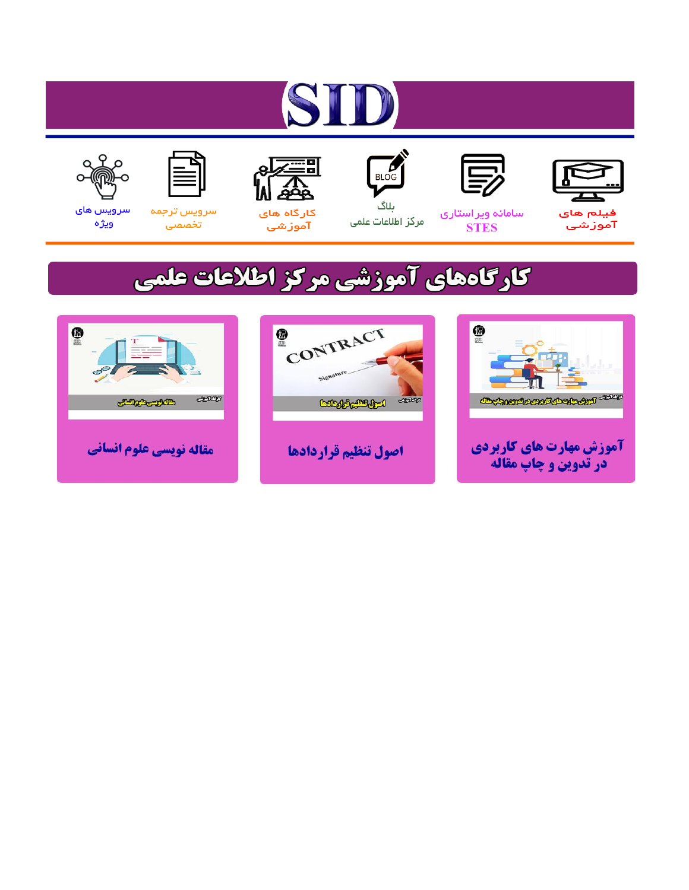# ST









## سامائه ويراستاري **STES**



ىلاگ مرکز اطلاعات علمی



ققق کارگاه های

آموزشي

空



تخصصى

سرویس های ويژه

## كارگاههای آموزشی مركز اطلاعات علمی





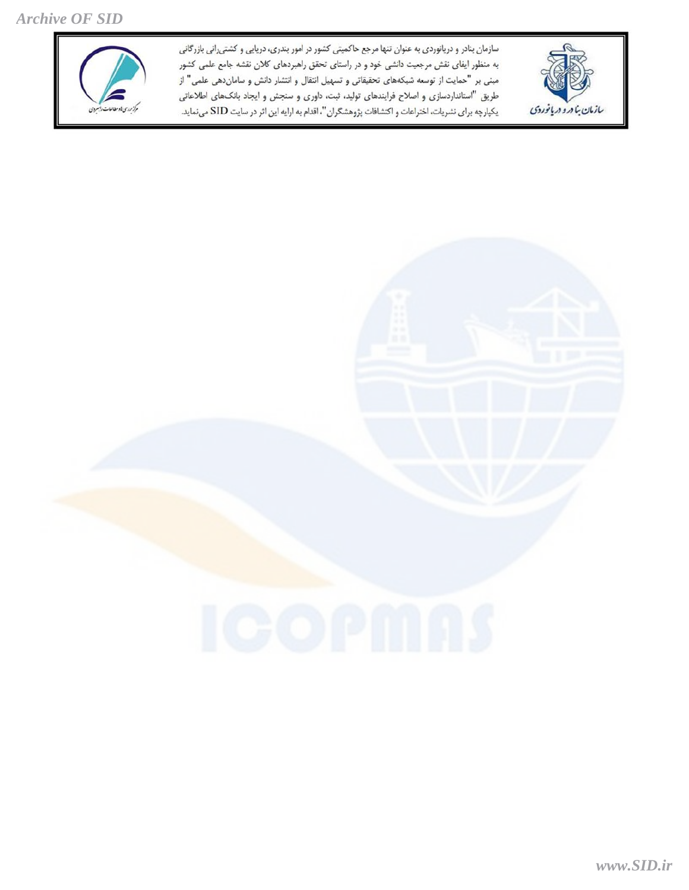*Archive OF SID*

.<br>از روی بادستامات رابسردی

سازمان بنادر و دریانوردی به عنوان تنها مرجع حاکمیتی کشور در امور بندری، دریایی و کشتی انی بازرگانی به منظور ایفای نقش مرجعیت دانشی خود و در راستای تحقق راهبردهای کلان نقشه جامع علمی کشور مبنی بر "حمایت از توسعه شبکههای تحقیقاتی و تسهیل انتقال و انتشار دانش و ساماندهی علمی" از طریق "استانداردسازی و اصلاح فرایندهای تولید، ثبت، داوری و سنجش و ایجاد بانکهای اطلاعاتی یکپارچه برای نشریات، اختراعات و اکتشافات پژوهشگران"، اقدام به ارایه این اثر در سایت SID می نماید.



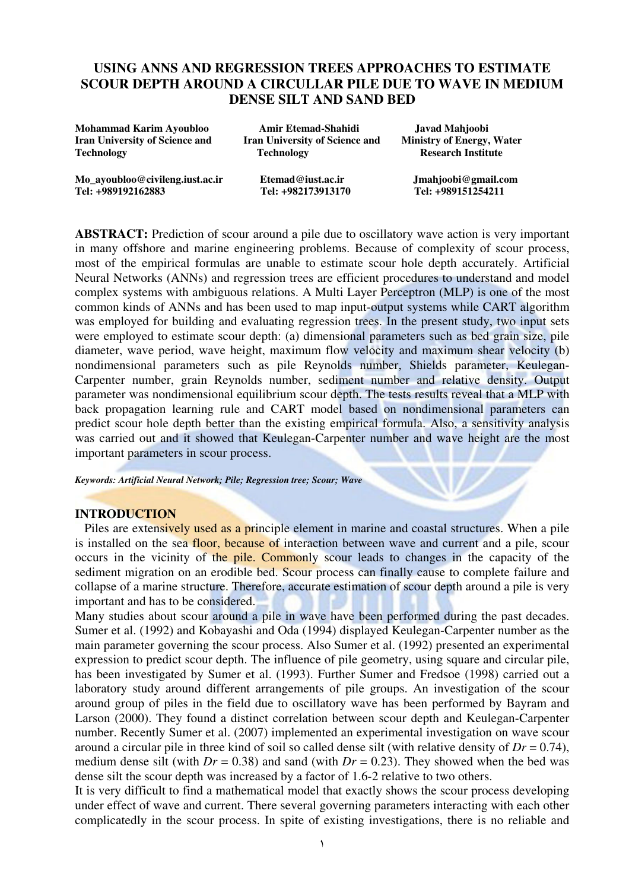## USING ANNS AND REGRESSION TREES APPROACHES TO ESTIMATE SCOUR DEPTH AROUND A CIRCULLAR PILE DUE TO WAVE IN MEDIUM DENSE SILT AND SAND BED

| Mohammad Karim Ayoubloo               | Amir Etemad-Shahidi                   | Javad Mahjoobi                   |  |
|---------------------------------------|---------------------------------------|----------------------------------|--|
| <b>Iran University of Science and</b> | <b>Iran University of Science and</b> | <b>Ministry of Energy, Water</b> |  |
| <b>Technology</b>                     | <b>Technology</b>                     | <b>Research Institute</b>        |  |
| Mo_ayoubloo@civileng.iust.ac.ir       | Etemad@iust.ac.in                     | Jmahjoobi@gmail.com              |  |
| Tel: +989192162883                    | Tel: +982173913170                    | Tel: +989151254211               |  |

ABSTRACT: Prediction of scour around a pile due to oscillatory wave action is very important in many offshore and marine engineering problems. Because of complexity of scour process, most of the empirical formulas are unable to estimate scour hole depth accurately. Artificial Neural Networks (ANNs) and regression trees are efficient procedures to understand and model complex systems with ambiguous relations. A Multi Layer Perceptron (MLP) is one of the most common kinds of ANNs and has been used to map input-output systems while CART algorithm was employed for building and evaluating regression trees. In the present study, two input sets were employed to estimate scour depth: (a) dimensional parameters such as bed grain size, pile diameter, wave period, wave height, maximum flow velocity and maximum shear velocity (b) nondimensional parameters such as pile Reynolds number, Shields parameter, Keulegan-Carpenter number, grain Reynolds number, sediment number and relative density. Output parameter was nondimensional equilibrium scour depth. The tests results reveal that a MLP with back propagation learning rule and CART model based on nondimensional parameters can predict scour hole depth better than the existing empirical formula. Also, a sensitivity analysis was carried out and it showed that Keulegan-Carpenter number and wave height are the most important parameters in scour process.

Keywords: Artificial Neural Network; Pile; Regression tree; Scour; Wave

#### INTRODUCTION

Piles are extensively used as a principle element in marine and coastal structures. When a pile is installed on the sea floor, because of interaction between wave and current and a pile, scour occurs in the vicinity of the pile. Commonly scour leads to changes in the capacity of the sediment migration on an erodible bed. Scour process can finally cause to complete failure and collapse of a marine structure. Therefore, accurate estimation of scour depth around a pile is very important and has to be considered.

Many studies about scour around a pile in wave have been performed during the past decades. Sumer et al. (1992) and Kobayashi and Oda (1994) displayed Keulegan-Carpenter number as the main parameter governing the scour process. Also Sumer et al. (1992) presented an experimental expression to predict scour depth. The influence of pile geometry, using square and circular pile, has been investigated by Sumer et al. (1993). Further Sumer and Fredsoe (1998) carried out a laboratory study around different arrangements of pile groups. An investigation of the scour around group of piles in the field due to oscillatory wave has been performed by Bayram and Larson (2000). They found a distinct correlation between scour depth and Keulegan-Carpenter number. Recently Sumer et al. (2007) implemented an experimental investigation on wave scour around a circular pile in three kind of soil so called dense silt (with relative density of  $Dr = 0.74$ ), medium dense silt (with  $Dr = 0.38$ ) and sand (with  $Dr = 0.23$ ). They showed when the bed was dense silt the scour depth was increased by a factor of 1.6-2 relative to two others.

It is very difficult to find a mathematical model that exactly shows the scour process developing under effect of wave and current. There several governing parameters interacting with each other complicatedly in the scour process. In spite of existing investigations, there is no reliable and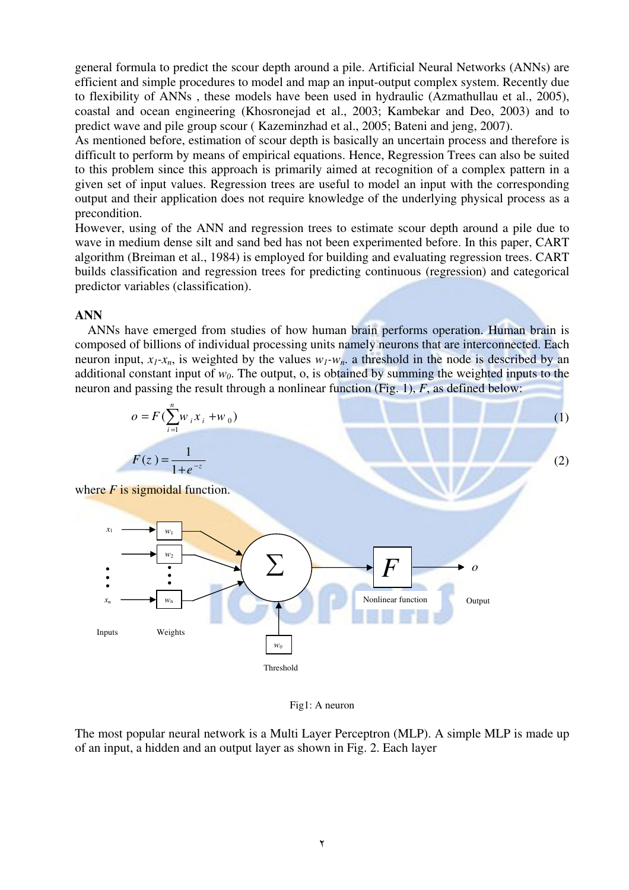general formula to predict the scour depth around a pile. Artificial Neural Networks (ANNs) are efficient and simple procedures to model and map an input-output complex system. Recently due to flexibility of ANNs , these models have been used in hydraulic (Azmathullau et al., 2005), coastal and ocean engineering (Khosronejad et al., 2003; Kambekar and Deo, 2003) and to predict wave and pile group scour ( Kazeminzhad et al., 2005; Bateni and jeng, 2007).

As mentioned before, estimation of scour depth is basically an uncertain process and therefore is difficult to perform by means of empirical equations. Hence, Regression Trees can also be suited to this problem since this approach is primarily aimed at recognition of a complex pattern in a given set of input values. Regression trees are useful to model an input with the corresponding output and their application does not require knowledge of the underlying physical process as a precondition.

However, using of the ANN and regression trees to estimate scour depth around a pile due to wave in medium dense silt and sand bed has not been experimented before. In this paper, CART algorithm (Breiman et al., 1984) is employed for building and evaluating regression trees. CART builds classification and regression trees for predicting continuous (regression) and categorical predictor variables (classification).

#### ANN

 ANNs have emerged from studies of how human brain performs operation. Human brain is composed of billions of individual processing units namely neurons that are interconnected. Each neuron input,  $x_1$ - $x_n$ , is weighted by the values  $w_1$ - $w_n$ . a threshold in the node is described by an additional constant input of  $w_0$ . The output, o, is obtained by summing the weighted inputs to the neuron and passing the result through a nonlinear function (Fig. 1),  $F$ , as defined below:





The most popular neural network is a Multi Layer Perceptron (MLP). A simple MLP is made up of an input, a hidden and an output layer as shown in Fig. 2. Each layer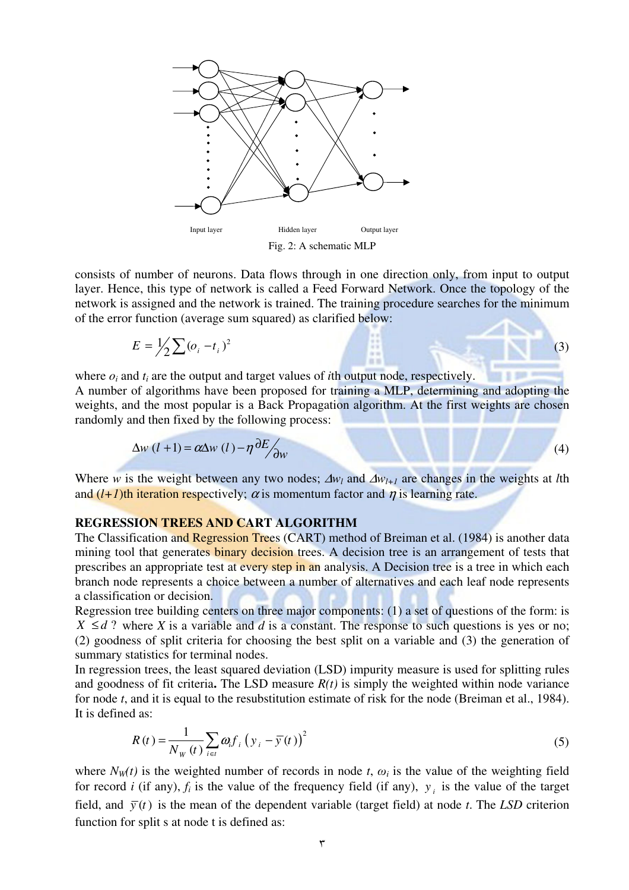

Fig. 2: A schematic MLP

consists of number of neurons. Data flows through in one direction only, from input to output layer. Hence, this type of network is called a Feed Forward Network. Once the topology of the network is assigned and the network is trained. The training procedure searches for the minimum of the error function (average sum squared) as clarified below:

$$
E = \frac{1}{2} \sum (\sigma_i - t_i)^2
$$
 (3)

where  $o_i$  and  $t_i$  are the output and target values of *i*th output node, respectively.

A number of algorithms have been proposed for training a MLP, determining and adopting the weights, and the most popular is a Back Propagation algorithm. At the first weights are chosen randomly and then fixed by the following process:

$$
\Delta w \left( l + 1 \right) = \alpha \Delta w \left( l \right) - \eta \frac{\partial E}{\partial w} \tag{4}
$$

Where w is the weight between any two nodes;  $\Delta w_l$  and  $\Delta w_{l+1}$  are changes in the weights at *l*th and  $(l+1)$ th iteration respectively;  $\alpha$  is momentum factor and  $\eta$  is learning rate.

#### REGRESSION TREES AND CART ALGORITHM

Fig. 2: A schootly Fig. 2: A schootly Fig. 2: A schootly Expect that a met<br>now the sassigned and the network is called a Fe network is rained. The<br>of the error function (average sum squared) as class the network is traine The Classification and Regression Trees (CART) method of Breiman et al. (1984) is another data mining tool that generates binary decision trees. A decision tree is an arrangement of tests that prescribes an appropriate test at every step in an analysis. A Decision tree is a tree in which each branch node represents a choice between a number of alternatives and each leaf node represents a classification or decision.

Regression tree building centers on three major components: (1) a set of questions of the form: is  $X \leq d$ ? where X is a variable and d is a constant. The response to such questions is yes or no; (2) goodness of split criteria for choosing the best split on a variable and (3) the generation of summary statistics for terminal nodes.

In regression trees, the least squared deviation (LSD) impurity measure is used for splitting rules and goodness of fit criteria. The LSD measure  $R(t)$  is simply the weighted within node variance for node t, and it is equal to the resubstitution estimate of risk for the node (Breiman et al., 1984). It is defined as:

$$
R(t) = \frac{1}{N_W(t)} \sum_{i \in t} \omega_i f_i \left( y_i - \overline{y}(t) \right)^2
$$
 (5)

where  $N_W(t)$  is the weighted number of records in node t,  $\omega_i$  is the value of the weighting field for record *i* (if any),  $f_i$  is the value of the frequency field (if any),  $y_i$  is the value of the target field, and  $\bar{y}(t)$  is the mean of the dependent variable (target field) at node t. The LSD criterion function for split s at node t is defined as: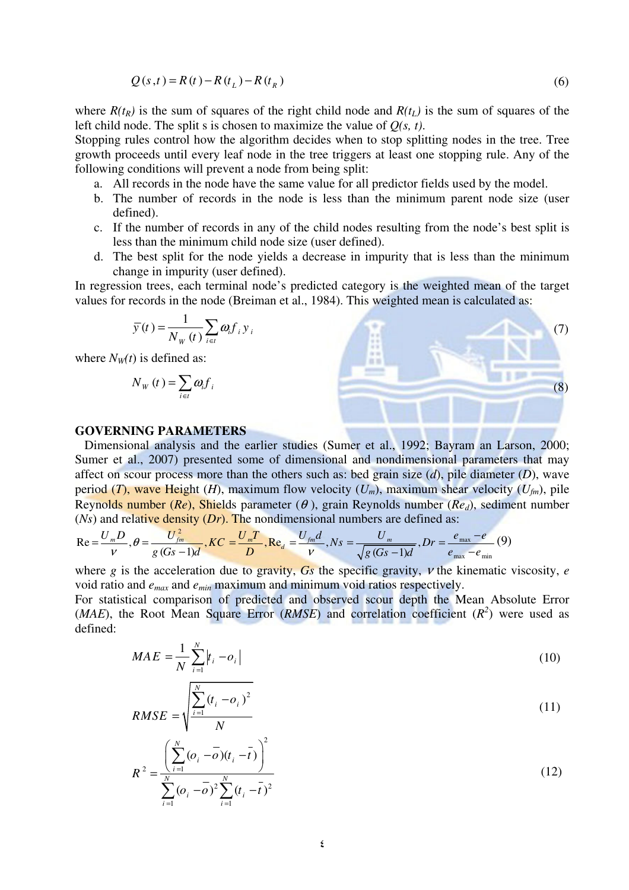$$
Q(s,t) = R(t) - R(t_L) - R(t_R)
$$
\n(6)

where  $R(t_R)$  is the sum of squares of the right child node and  $R(t_L)$  is the sum of squares of the left child node. The split s is chosen to maximize the value of  $Q(s, t)$ .

Stopping rules control how the algorithm decides when to stop splitting nodes in the tree. Tree growth proceeds until every leaf node in the tree triggers at least one stopping rule. Any of the following conditions will prevent a node from being split:

- a. All records in the node have the same value for all predictor fields used by the model.
- b. The number of records in the node is less than the minimum parent node size (user defined).
- c. If the number of records in any of the child nodes resulting from the node's best split is less than the minimum child node size (user defined).
- d. The best split for the node yields a decrease in impurity that is less than the minimum change in impurity (user defined).

In regression trees, each terminal node's predicted category is the weighted mean of the target values for records in the node (Breiman et al., 1984). This weighted mean is calculated as:

$$
\overline{y}(t) = \frac{1}{N_{W}(t)} \sum_{i \in t} \omega_{i} f_{i} y_{i}
$$

 $\ddot{\phantom{a}}$ 

where  $N<sub>W</sub>(t)$  is defined as:

$$
N_{w}\left(t\right)=\sum_{i\in t}\omega_{i}f_{i}
$$

#### GOVERNING PARAMETERS

 Dimensional analysis and the earlier studies (Sumer et al., 1992; Bayram an Larson, 2000; Sumer et al., 2007) presented some of dimensional and nondimensional parameters that may affect on scour process more than the others such as: bed grain size  $(d)$ , pile diameter  $(D)$ , wave period (T), wave Height (H), maximum flow velocity  $(U_m)$ , maximum shear velocity  $(U_{fm})$ , pile Reynolds number (Re), Shields parameter ( $\theta$ ), grain Reynolds number (Re<sub>d</sub>), sediment number (Ns) and relative density  $(Dr)$ . The nondimensional numbers are defined as:

$$
\text{Re} = \frac{U_m D}{v}, \theta = \frac{U_{fm}^2}{g(Gs - 1)d}, \text{KC} = \frac{U_m T}{D}, \text{Re}_d = \frac{U_{fm}d}{v}, \text{Ns} = \frac{U_m}{\sqrt{g(Gs - 1)d}}, \text{Dr} = \frac{e_{\text{max}} - e}{e_{\text{max}} - e_{\text{min}}}
$$
(9)

where g is the acceleration due to gravity, Gs the specific gravity,  $\nu$  the kinematic viscosity, e void ratio and  $e_{max}$  and  $e_{min}$  maximum and minimum void ratios respectively.

For statistical comparison of predicted and observed scour depth the Mean Absolute Error (*MAE*), the Root Mean Square Error (*RMSE*) and correlation coefficient  $(R^2)$  were used as defined:

$$
MAE = \frac{1}{N} \sum_{i=1}^{N} |t_i - o_i|
$$
 (10)

$$
RMSE = \sqrt{\frac{\sum_{i=1}^{N} (t_i - o_i)^2}{N}}
$$
 (11)

$$
R^{2} = \frac{\left(\sum_{i=1}^{N} (\sigma_{i} - \overline{\sigma})(t_{i} - \overline{t})\right)^{2}}{\sum_{i=1}^{N} (\sigma_{i} - \overline{\sigma})^{2} \sum_{i=1}^{N} (t_{i} - \overline{t})^{2}}
$$
(12)

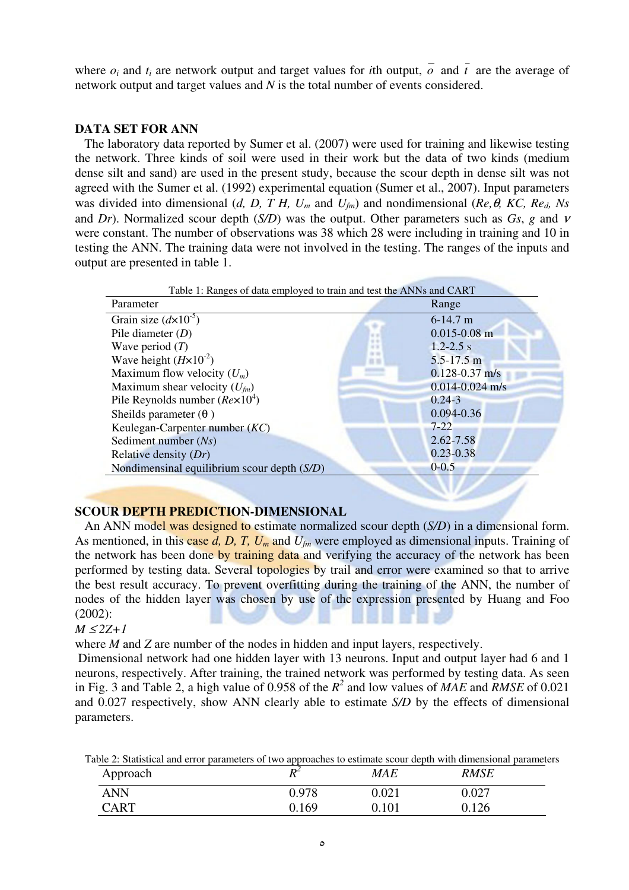where  $o_i$  and  $t_i$  are network output and target values for *i*th output,  $\overline{o}$  and  $\overline{t}$  are the average of network output and target values and N is the total number of events considered.

### DATA SET FOR ANN

 The laboratory data reported by Sumer et al. (2007) were used for training and likewise testing the network. Three kinds of soil were used in their work but the data of two kinds (medium dense silt and sand) are used in the present study, because the scour depth in dense silt was not agreed with the Sumer et al. (1992) experimental equation (Sumer et al., 2007). Input parameters was divided into dimensional (d, D, T H,  $U_m$  and  $U_{fm}$ ) and nondimensional (Re,  $\theta$ , KC, Re<sub>d</sub>, Ns and Dr). Normalized scour depth (S/D) was the output. Other parameters such as  $Gs$ , g and v were constant. The number of observations was 38 which 28 were including in training and 10 in testing the ANN. The training data were not involved in the testing. The ranges of the inputs and output are presented in table 1.

| Table 1: Ranges of data employed to train and test the ANNs and CART |                     |  |
|----------------------------------------------------------------------|---------------------|--|
| Parameter                                                            | Range               |  |
| Grain size $\left(\frac{d}{\times}10^{-5}\right)$                    | $6-14.7$ m          |  |
| Pile diameter $(D)$                                                  | $0.015 - 0.08$ m    |  |
| Wave period $(T)$                                                    | $1.2 - 2.5$ s       |  |
| Wave height $(H \times 10^{-2})$                                     | $5.5 - 17.5$ m      |  |
| Maximum flow velocity $(U_m)$                                        | $0.128 - 0.37$ m/s  |  |
| Maximum shear velocity $(U_{\text{fm}})$                             | $0.014 - 0.024$ m/s |  |
| Pile Reynolds number $(Re \times 10^4)$                              | $0.24 - 3$          |  |
| Sheilds parameter $(\theta)$                                         | $0.094 - 0.36$      |  |
| Keulegan-Carpenter number $(KC)$                                     | $7 - 22$            |  |
| Sediment number $(Ns)$                                               | $2.62 - 7.58$       |  |
| Relative density $(Dr)$                                              | $0.23 - 0.38$       |  |
| $0 - 0.5$<br>Nondimensinal equilibrium scour depth $(S/D)$           |                     |  |
|                                                                      |                     |  |

#### SCOUR DEPTH PREDICTION-DIMENSIONAL

An ANN model was designed to estimate normalized scour depth (S/D) in a dimensional form. As mentioned, in this case d, D, T,  $U_m$  and  $U_{fm}$  were employed as dimensional inputs. Training of the network has been done by training data and verifying the accuracy of the network has been performed by testing data. Several topologies by trail and error were examined so that to arrive the best result accuracy. To prevent overfitting during the training of the ANN, the number of nodes of the hidden layer was chosen by use of the expression presented by Huang and Foo (2002):

#### $M \leq 2Z+1$

where *M* and *Z* are number of the nodes in hidden and input layers, respectively.

 Dimensional network had one hidden layer with 13 neurons. Input and output layer had 6 and 1 neurons, respectively. After training, the trained network was performed by testing data. As seen in Fig. 3 and Table 2, a high value of 0.958 of the  $R^2$  and low values of MAE and RMSE of 0.021 and 0.027 respectively, show ANN clearly able to estimate S/D by the effects of dimensional parameters.

| Table 2: Statistical and error parameters of two approaches to estimate scour depth with dimensional parameters |  |  |  |  |  |
|-----------------------------------------------------------------------------------------------------------------|--|--|--|--|--|
|-----------------------------------------------------------------------------------------------------------------|--|--|--|--|--|

| Approach   | $\mathbf{L}$<br>1 V | <i>MAE</i>  | RMSE  |
|------------|---------------------|-------------|-------|
| <b>ANN</b> | 0.978               | $0.021\,$   | 0.027 |
| CART       | 169                 | $\rm 0.101$ | 0.126 |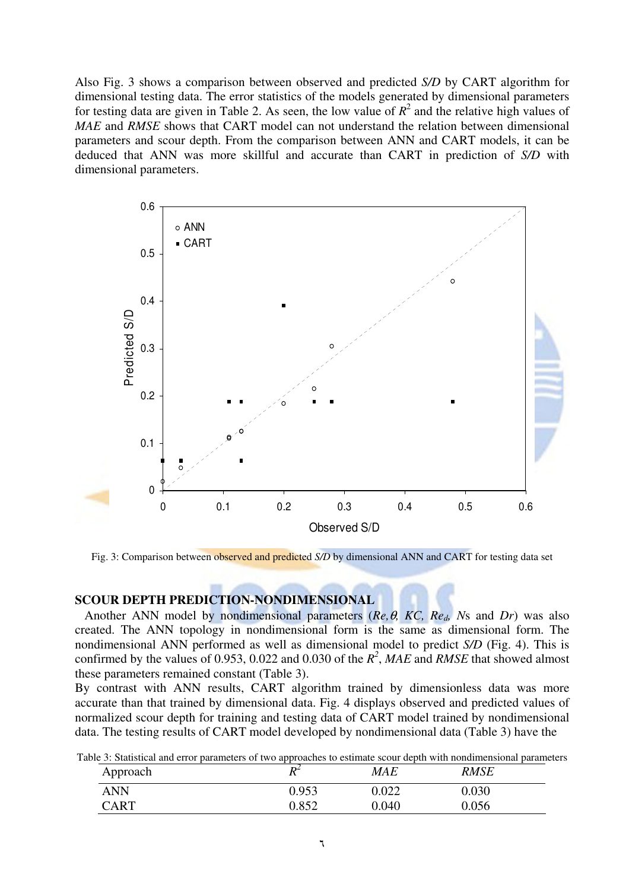Also Fig. 3 shows a comparison between observed and predicted S/D by CART algorithm for dimensional testing data. The error statistics of the models generated by dimensional parameters for testing data are given in Table 2. As seen, the low value of  $R^2$  and the relative high values of MAE and RMSE shows that CART model can not understand the relation between dimensional parameters and scour depth. From the comparison between ANN and CART models, it can be deduced that ANN was more skillful and accurate than CART in prediction of S/D with dimensional parameters.



Fig. 3: Comparison between observed and predicted S/D by dimensional ANN and CART for testing data set

#### SCOUR DEPTH PREDICTION-NONDIMENSIONAL

Another ANN model by nondimensional parameters ( $Re, \theta$ , KC,  $Re_d$ , Ns and Dr) was also created. The ANN topology in nondimensional form is the same as dimensional form. The nondimensional ANN performed as well as dimensional model to predict S/D (Fig. 4). This is confirmed by the values of 0.953, 0.022 and 0.030 of the  $R^2$ , MAE and RMSE that showed almost these parameters remained constant (Table 3).

By contrast with ANN results, CART algorithm trained by dimensionless data was more accurate than that trained by dimensional data. Fig. 4 displays observed and predicted values of normalized scour depth for training and testing data of CART model trained by nondimensional data. The testing results of CART model developed by nondimensional data (Table 3) have the

| ble 3: Statistical and error parameters of two approaches to estimate scour depth with nondimensional paramete |       |            |             |  |
|----------------------------------------------------------------------------------------------------------------|-------|------------|-------------|--|
| Approach                                                                                                       |       | <b>MAE</b> | <b>RMSE</b> |  |
| <b>ANN</b>                                                                                                     | 0.953 | 0.022      | 0.030       |  |
| <b>CART</b>                                                                                                    | 0.852 | 0.040      | 0.056       |  |

Table 3: Statistical and error parameters of two approaches to estimate scour depth with nondimensional parameters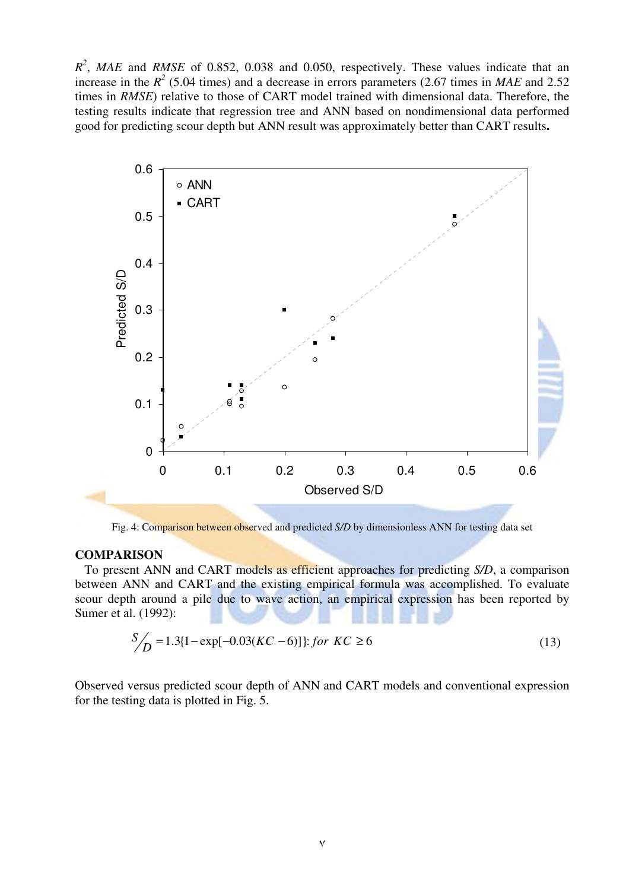$R^2$ , MAE and RMSE of 0.852, 0.038 and 0.050, respectively. These values indicate that an increase in the  $R^2$  (5.04 times) and a decrease in errors parameters (2.67 times in MAE and 2.52 times in RMSE) relative to those of CART model trained with dimensional data. Therefore, the testing results indicate that regression tree and ANN based on nondimensional data performed good for predicting scour depth but ANN result was approximately better than CART results.



Fig. 4: Comparison between observed and predicted S/D by dimensionless ANN for testing data set

#### **COMPARISON**

 To present ANN and CART models as efficient approaches for predicting S/D, a comparison between ANN and CART and the existing empirical formula was accomplished. To evaluate scour depth around a pile due to wave action, an empirical expression has been reported by Sumer et al. (1992):

$$
S'_{D} = 1.3[1 - \exp[-0.03(KC - 6)]]
$$
: for  $KC \ge 6$  (13)

Observed versus predicted scour depth of ANN and CART models and conventional expression for the testing data is plotted in Fig. 5.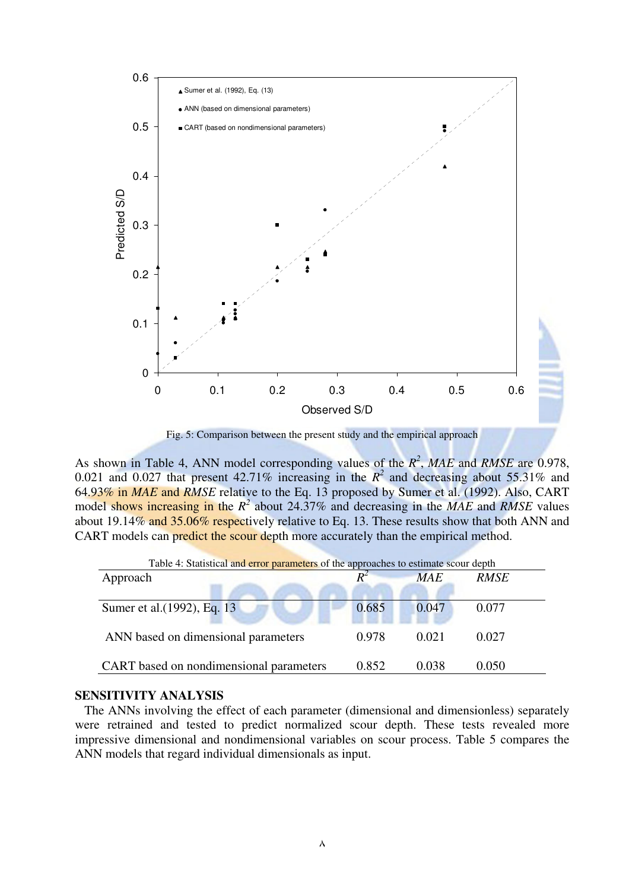

Fig. 5: Comparison between the present study and the empirical approach

As shown in Table 4, ANN model corresponding values of the  $R^2$ , MAE and RMSE are 0.978, 0.021 and 0.027 that present 42.71% increasing in the  $R^2$  and decreasing about 55.31% and 64.93% in MAE and RMSE relative to the Eq. 13 proposed by Sumer et al. (1992). Also, CART model shows increasing in the  $R^2$  about 24.37% and decreasing in the MAE and RMSE values about 19.14% and 35.06% respectively relative to Eq. 13. These results show that both ANN and CART models can predict the scour depth more accurately than the empirical method.

| Table 4: Statistical and error parameters of the approaches to estimate scour depth |       |            |             |  |
|-------------------------------------------------------------------------------------|-------|------------|-------------|--|
| Approach                                                                            |       | <b>MAE</b> | <i>RMSE</i> |  |
| Sumer et al. (1992), Eq. 13                                                         | 0.685 | 0.047      | 0.077       |  |
| ANN based on dimensional parameters                                                 | 0.978 | 0.021      | 0.027       |  |
| CART based on nondimensional parameters                                             | 0.852 | 0.038      | 0.050       |  |

#### SENSITIVITY ANALYSIS

 The ANNs involving the effect of each parameter (dimensional and dimensionless) separately were retrained and tested to predict normalized scour depth. These tests revealed more impressive dimensional and nondimensional variables on scour process. Table 5 compares the ANN models that regard individual dimensionals as input.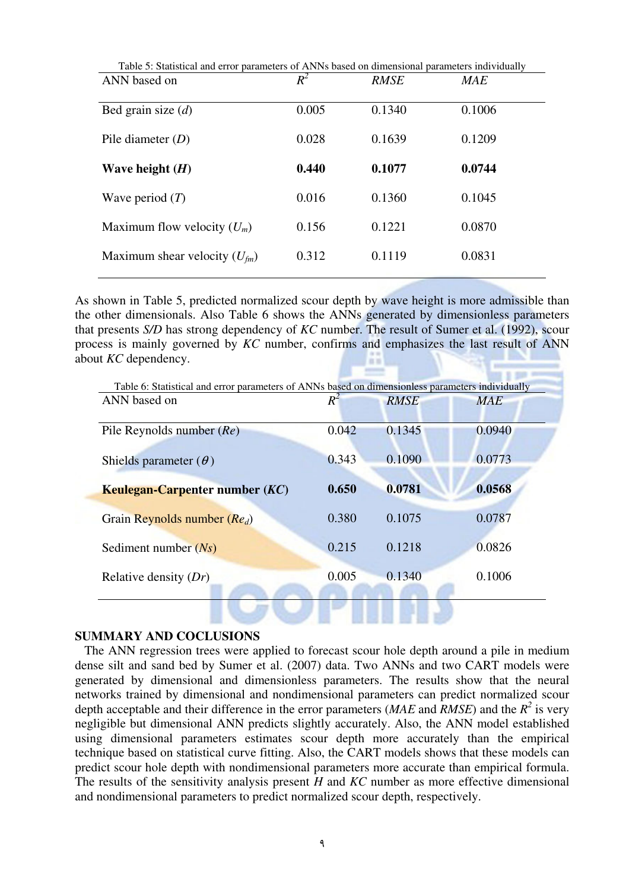| Table 5: Statistical and error parameters of ANNs based on dimensional parameters individually |       |             |            |  |  |
|------------------------------------------------------------------------------------------------|-------|-------------|------------|--|--|
| ANN based on                                                                                   | $R^2$ | <b>RMSE</b> | <b>MAE</b> |  |  |
|                                                                                                |       |             |            |  |  |
| Bed grain size $(d)$                                                                           | 0.005 | 0.1340      | 0.1006     |  |  |
|                                                                                                |       |             |            |  |  |
| Pile diameter $(D)$                                                                            | 0.028 | 0.1639      | 0.1209     |  |  |
|                                                                                                |       |             |            |  |  |
| Wave height $(H)$                                                                              | 0.440 | 0.1077      | 0.0744     |  |  |
|                                                                                                |       |             |            |  |  |
| Wave period $(T)$                                                                              | 0.016 | 0.1360      | 0.1045     |  |  |
|                                                                                                |       |             |            |  |  |
| Maximum flow velocity $(U_m)$                                                                  | 0.156 | 0.1221      | 0.0870     |  |  |
|                                                                                                |       |             |            |  |  |
| Maximum shear velocity $(U_{\text{fm}})$                                                       | 0.312 | 0.1119      | 0.0831     |  |  |
|                                                                                                |       |             |            |  |  |

As shown in Table 5, predicted normalized scour depth by wave height is more admissible than the other dimensionals. Also Table 6 shows the ANNs generated by dimensionless parameters that presents S/D has strong dependency of KC number. The result of Sumer et al. (1992), scour process is mainly governed by KC number, confirms and emphasizes the last result of ANN about KC dependency.

Ŧ

| Table 6: Statistical and error parameters of ANNs based on dimensionless parameters individually |       |             |            |
|--------------------------------------------------------------------------------------------------|-------|-------------|------------|
| ANN based on                                                                                     | $R^2$ | <b>RMSE</b> | <b>MAE</b> |
|                                                                                                  |       |             |            |
| Pile Reynolds number $(Re)$                                                                      | 0.042 | 0.1345      | 0.0940     |
|                                                                                                  |       |             |            |
| Shields parameter $(\theta)$                                                                     | 0.343 | 0.1090      | 0.0773     |
|                                                                                                  |       |             |            |
| Keulegan-Carpenter number (KC)                                                                   | 0.650 | 0.0781      | 0.0568     |
|                                                                                                  |       |             |            |
| Grain Reynolds number $(Re_d)$                                                                   | 0.380 | 0.1075      | 0.0787     |
|                                                                                                  |       |             |            |
| Sediment number $(Ns)$                                                                           | 0.215 | 0.1218      | 0.0826     |
|                                                                                                  |       |             |            |
| Relative density $(Dr)$                                                                          | 0.005 | 0.1340      | 0.1006     |
|                                                                                                  |       |             |            |
|                                                                                                  |       |             |            |

#### SUMMARY AND COCLUSIONS

 The ANN regression trees were applied to forecast scour hole depth around a pile in medium dense silt and sand bed by Sumer et al. (2007) data. Two ANNs and two CART models were generated by dimensional and dimensionless parameters. The results show that the neural networks trained by dimensional and nondimensional parameters can predict normalized scour depth acceptable and their difference in the error parameters (*MAE* and *RMSE*) and the  $R^2$  is very negligible but dimensional ANN predicts slightly accurately. Also, the ANN model established using dimensional parameters estimates scour depth more accurately than the empirical technique based on statistical curve fitting. Also, the CART models shows that these models can predict scour hole depth with nondimensional parameters more accurate than empirical formula. The results of the sensitivity analysis present  $H$  and  $KC$  number as more effective dimensional and nondimensional parameters to predict normalized scour depth, respectively.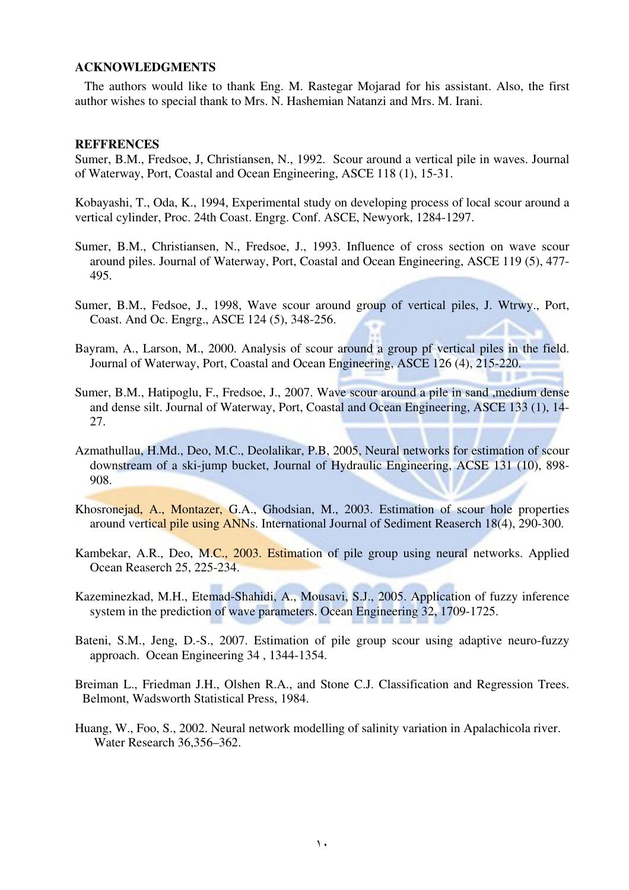#### ACKNOWLEDGMENTS

 The authors would like to thank Eng. M. Rastegar Mojarad for his assistant. Also, the first author wishes to special thank to Mrs. N. Hashemian Natanzi and Mrs. M. Irani.

#### **REFFRENCES**

Sumer, B.M., Fredsoe, J, Christiansen, N., 1992. Scour around a vertical pile in waves. Journal of Waterway, Port, Coastal and Ocean Engineering, ASCE 118 (1), 15-31.

Kobayashi, T., Oda, K., 1994, Experimental study on developing process of local scour around a vertical cylinder, Proc. 24th Coast. Engrg. Conf. ASCE, Newyork, 1284-1297.

- Sumer, B.M., Christiansen, N., Fredsoe, J., 1993. Influence of cross section on wave scour around piles. Journal of Waterway, Port, Coastal and Ocean Engineering, ASCE 119 (5), 477- 495.
- Sumer, B.M., Fedsoe, J., 1998, Wave scour around group of vertical piles, J. Wtrwy., Port, Coast. And Oc. Engrg., ASCE 124 (5), 348-256.
- Bayram, A., Larson, M., 2000. Analysis of scour around a group pf vertical piles in the field. Journal of Waterway, Port, Coastal and Ocean Engineering, ASCE 126 (4), 215-220.
- Sumer, B.M., Hatipoglu, F., Fredsoe, J., 2007. Wave scour around a pile in sand ,medium dense and dense silt. Journal of Waterway, Port, Coastal and Ocean Engineering, ASCE 133 (1), 14- 27.
- Azmathullau, H.Md., Deo, M.C., Deolalikar, P.B, 2005, Neural networks for estimation of scour downstream of a ski-jump bucket, Journal of Hydraulic Engineering, ACSE 131 (10), 898- 908.
- Khosronejad, A., Montazer, G.A., Ghodsian, M., 2003. Estimation of scour hole properties around vertical pile using ANNs. International Journal of Sediment Reaserch 18(4), 290-300.
- Kambekar, A.R., Deo, M.C., 2003. Estimation of pile group using neural networks. Applied Ocean Reaserch 25, 225-234.
- Kazeminezkad, M.H., Etemad-Shahidi, A., Mousavi, S.J., 2005. Application of fuzzy inference system in the prediction of wave parameters. Ocean Engineering 32, 1709-1725.
- Bateni, S.M., Jeng, D.-S., 2007. Estimation of pile group scour using adaptive neuro-fuzzy approach. Ocean Engineering 34 , 1344-1354.
- Breiman L., Friedman J.H., Olshen R.A., and Stone C.J. Classification and Regression Trees. Belmont, Wadsworth Statistical Press, 1984.
- Huang, W., Foo, S., 2002. Neural network modelling of salinity variation in Apalachicola river. Water Research 36,356–362.